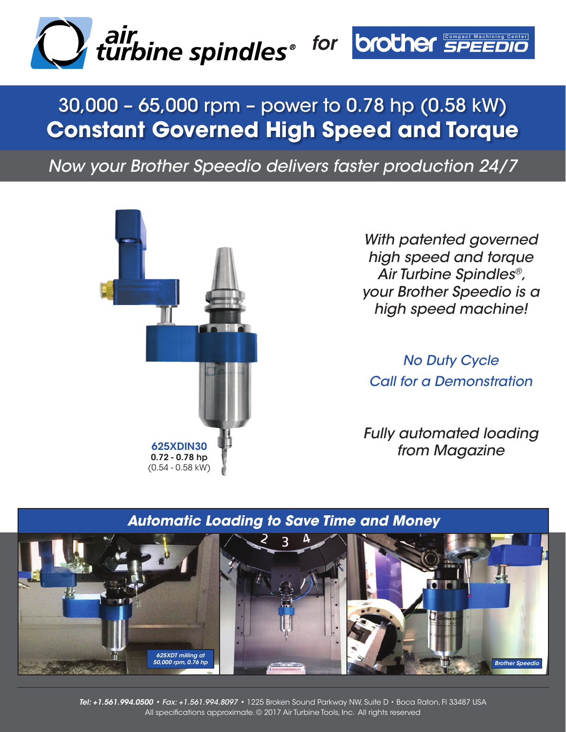

# 30,000 – 65,000 rpm – power to 0.78 hp (0.58 kW) **Constant Governed High Speed and Torque**

*Now your Brother Speedio delivers faster production 24/7*



*With patented governed high speed and torque Air Turbine Spindles®, your Brother Speedio is a high speed machine!* 

*No Duty Cycle Call for a Demonstration*

*Fully automated loading from Magazine* 625XDIN30



*Tel: +1.561.994.0500 • Fax: +1.561.994.8097 •* 1225 Broken Sound Parkway NW, Suite D • Boca Raton, Fl 33487 USA All specifications approximate. © 2017 Air Turbine Tools, Inc. All rights reserved